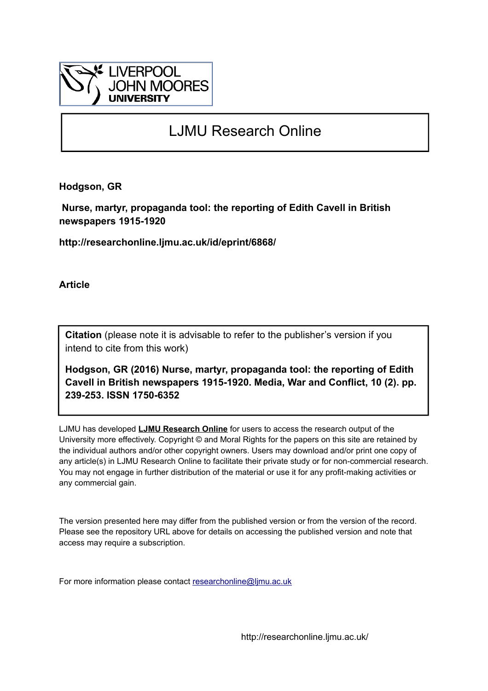

# LJMU Research Online

**Hodgson, GR**

 **Nurse, martyr, propaganda tool: the reporting of Edith Cavell in British newspapers 1915-1920**

**http://researchonline.ljmu.ac.uk/id/eprint/6868/**

**Article**

**Citation** (please note it is advisable to refer to the publisher's version if you intend to cite from this work)

**Hodgson, GR (2016) Nurse, martyr, propaganda tool: the reporting of Edith Cavell in British newspapers 1915-1920. Media, War and Conflict, 10 (2). pp. 239-253. ISSN 1750-6352** 

LJMU has developed **[LJMU Research Online](http://researchonline.ljmu.ac.uk/)** for users to access the research output of the University more effectively. Copyright © and Moral Rights for the papers on this site are retained by the individual authors and/or other copyright owners. Users may download and/or print one copy of any article(s) in LJMU Research Online to facilitate their private study or for non-commercial research. You may not engage in further distribution of the material or use it for any profit-making activities or any commercial gain.

The version presented here may differ from the published version or from the version of the record. Please see the repository URL above for details on accessing the published version and note that access may require a subscription.

For more information please contact [researchonline@ljmu.ac.uk](mailto:researchonline@ljmu.ac.uk)

http://researchonline.ljmu.ac.uk/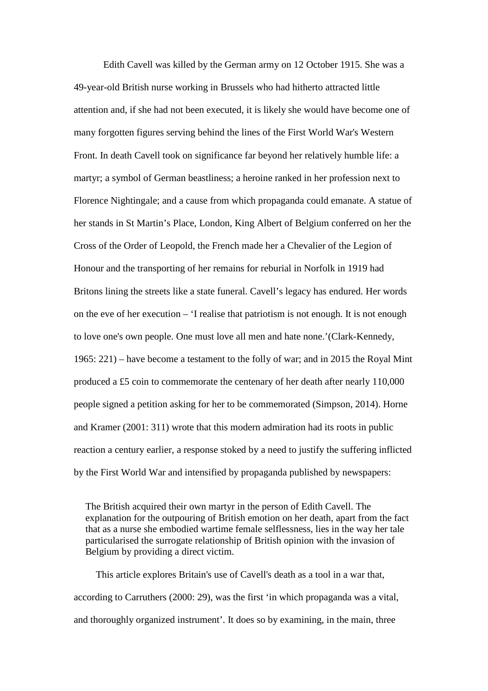Edith Cavell was killed by the German army on 12 October 1915. She was a 49-year-old British nurse working in Brussels who had hitherto attracted little attention and, if she had not been executed, it is likely she would have become one of many forgotten figures serving behind the lines of the First World War's Western Front. In death Cavell took on significance far beyond her relatively humble life: a martyr; a symbol of German beastliness; a heroine ranked in her profession next to Florence Nightingale; and a cause from which propaganda could emanate. A statue of her stands in St Martin's Place, London, King Albert of Belgium conferred on her the Cross of the Order of Leopold, the French made her a Chevalier of the Legion of Honour and the transporting of her remains for reburial in Norfolk in 1919 had Britons lining the streets like a state funeral. Cavell's legacy has endured. Her words on the eve of her execution – 'I realise that patriotism is not enough. It is not enough to love one's own people. One must love all men and hate none.'(Clark-Kennedy, 1965: 221) – have become a testament to the folly of war; and in 2015 the Royal Mint produced a £5 coin to commemorate the centenary of her death after nearly 110,000 people signed a petition asking for her to be commemorated (Simpson, 2014). Horne and Kramer (2001: 311) wrote that this modern admiration had its roots in public reaction a century earlier, a response stoked by a need to justify the suffering inflicted by the First World War and intensified by propaganda published by newspapers:

The British acquired their own martyr in the person of Edith Cavell. The explanation for the outpouring of British emotion on her death, apart from the fact that as a nurse she embodied wartime female selflessness, lies in the way her tale particularised the surrogate relationship of British opinion with the invasion of Belgium by providing a direct victim.

 This article explores Britain's use of Cavell's death as a tool in a war that, according to Carruthers (2000: 29), was the first 'in which propaganda was a vital, and thoroughly organized instrument'. It does so by examining, in the main, three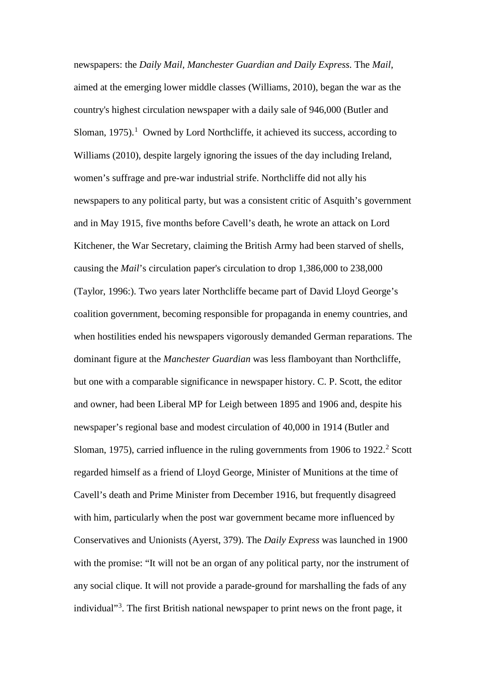newspapers: the *Daily Mail, Manchester Guardian and Daily Express.* The *Mail*, aimed at the emerging lower middle classes (Williams, 2010), began the war as the country's highest circulation newspaper with a daily sale of 946,000 (Butler and Sloman,  $1975$  $1975$ ).<sup>1</sup> Owned by Lord Northcliffe, it achieved its success, according to Williams (2010), despite largely ignoring the issues of the day including Ireland, women's suffrage and pre-war industrial strife. Northcliffe did not ally his newspapers to any political party, but was a consistent critic of Asquith's government and in May 1915, five months before Cavell's death, he wrote an attack on Lord Kitchener, the War Secretary, claiming the British Army had been starved of shells, causing the *Mail*'s circulation paper's circulation to drop 1,386,000 to 238,000 (Taylor, 1996:). Two years later Northcliffe became part of David Lloyd George's coalition government, becoming responsible for propaganda in enemy countries, and when hostilities ended his newspapers vigorously demanded German reparations. The dominant figure at the *Manchester Guardian* was less flamboyant than Northcliffe, but one with a comparable significance in newspaper history. C. P. Scott, the editor and owner, had been Liberal MP for Leigh between 1895 and 1906 and, despite his newspaper's regional base and modest circulation of 40,000 in 1914 (Butler and Sloman, 1975), carried influence in the ruling governments from 1906 to  $1922<sup>2</sup>$  $1922<sup>2</sup>$  $1922<sup>2</sup>$  Scott regarded himself as a friend of Lloyd George, Minister of Munitions at the time of Cavell's death and Prime Minister from December 1916, but frequently disagreed with him, particularly when the post war government became more influenced by Conservatives and Unionists (Ayerst, 379). The *Daily Express* was launched in 1900 with the promise: "It will not be an organ of any political party, nor the instrument of any social clique. It will not provide a parade-ground for marshalling the fads of any individual"<sup>[3](#page-22-2)</sup>. The first British national newspaper to print news on the front page, it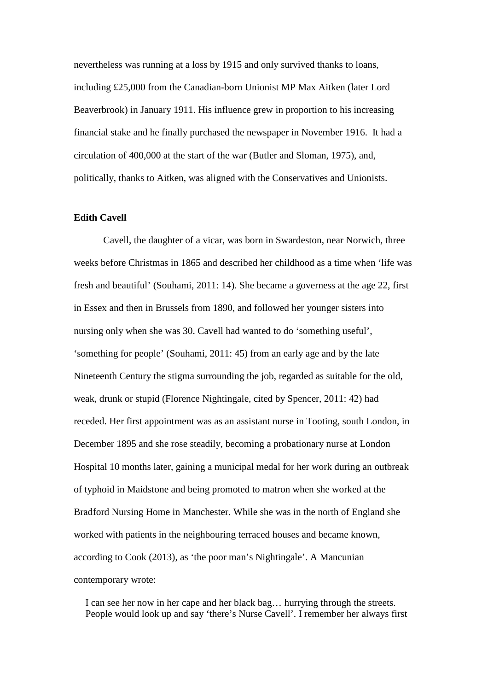nevertheless was running at a loss by 1915 and only survived thanks to loans, including £25,000 from the Canadian-born Unionist MP Max Aitken (later Lord Beaverbrook) in January 1911. His influence grew in proportion to his increasing financial stake and he finally purchased the newspaper in November 1916. It had a circulation of 400,000 at the start of the war (Butler and Sloman, 1975), and, politically, thanks to Aitken, was aligned with the Conservatives and Unionists.

## **Edith Cavell**

Cavell, the daughter of a vicar, was born in Swardeston, near Norwich, three weeks before Christmas in 1865 and described her childhood as a time when 'life was fresh and beautiful' (Souhami, 2011: 14). She became a governess at the age 22, first in Essex and then in Brussels from 1890, and followed her younger sisters into nursing only when she was 30. Cavell had wanted to do 'something useful', 'something for people' (Souhami, 2011: 45) from an early age and by the late Nineteenth Century the stigma surrounding the job, regarded as suitable for the old, weak, drunk or stupid (Florence Nightingale, cited by Spencer, 2011: 42) had receded. Her first appointment was as an assistant nurse in Tooting, south London, in December 1895 and she rose steadily, becoming a probationary nurse at London Hospital 10 months later, gaining a municipal medal for her work during an outbreak of typhoid in Maidstone and being promoted to matron when she worked at the Bradford Nursing Home in Manchester. While she was in the north of England she worked with patients in the neighbouring terraced houses and became known, according to Cook (2013), as 'the poor man's Nightingale'. A Mancunian contemporary wrote:

I can see her now in her cape and her black bag… hurrying through the streets. People would look up and say 'there's Nurse Cavell'. I remember her always first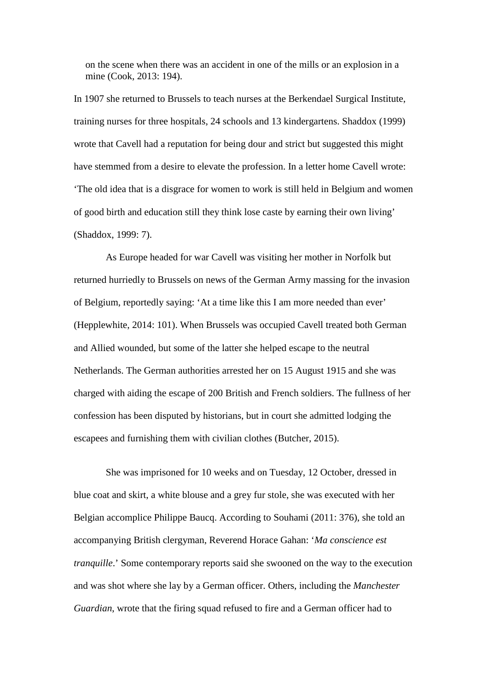on the scene when there was an accident in one of the mills or an explosion in a mine (Cook, 2013: 194).

In 1907 she returned to Brussels to teach nurses at the Berkendael Surgical Institute, training nurses for three hospitals, 24 schools and 13 kindergartens. Shaddox (1999) wrote that Cavell had a reputation for being dour and strict but suggested this might have stemmed from a desire to elevate the profession. In a letter home Cavell wrote: 'The old idea that is a disgrace for women to work is still held in Belgium and women of good birth and education still they think lose caste by earning their own living' (Shaddox, 1999: 7).

As Europe headed for war Cavell was visiting her mother in Norfolk but returned hurriedly to Brussels on news of the German Army massing for the invasion of Belgium, reportedly saying: 'At a time like this I am more needed than ever' (Hepplewhite, 2014: 101). When Brussels was occupied Cavell treated both German and Allied wounded, but some of the latter she helped escape to the neutral Netherlands. The German authorities arrested her on 15 August 1915 and she was charged with aiding the escape of 200 British and French soldiers. The fullness of her confession has been disputed by historians, but in court she admitted lodging the escapees and furnishing them with civilian clothes (Butcher, 2015).

She was imprisoned for 10 weeks and on Tuesday, 12 October, dressed in blue coat and skirt, a white blouse and a grey fur stole, she was executed with her Belgian accomplice Philippe Baucq. According to Souhami (2011: 376), she told an accompanying British clergyman, Reverend Horace Gahan: '*Ma conscience est tranquille*.' Some contemporary reports said she swooned on the way to the execution and was shot where she lay by a German officer. Others, including the *Manchester Guardian*, wrote that the firing squad refused to fire and a German officer had to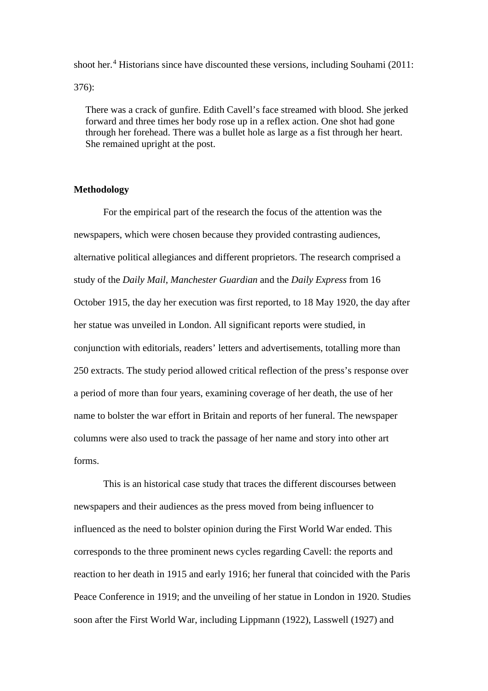shoot her. [4](#page-22-3) Historians since have discounted these versions, including Souhami (2011: 376):

There was a crack of gunfire. Edith Cavell's face streamed with blood. She jerked forward and three times her body rose up in a reflex action. One shot had gone through her forehead. There was a bullet hole as large as a fist through her heart. She remained upright at the post.

#### **Methodology**

For the empirical part of the research the focus of the attention was the newspapers, which were chosen because they provided contrasting audiences, alternative political allegiances and different proprietors. The research comprised a study of the *Daily Mail*, *Manchester Guardian* and the *Daily Express* from 16 October 1915, the day her execution was first reported, to 18 May 1920, the day after her statue was unveiled in London. All significant reports were studied, in conjunction with editorials, readers' letters and advertisements, totalling more than 250 extracts. The study period allowed critical reflection of the press's response over a period of more than four years, examining coverage of her death, the use of her name to bolster the war effort in Britain and reports of her funeral. The newspaper columns were also used to track the passage of her name and story into other art forms.

This is an historical case study that traces the different discourses between newspapers and their audiences as the press moved from being influencer to influenced as the need to bolster opinion during the First World War ended. This corresponds to the three prominent news cycles regarding Cavell: the reports and reaction to her death in 1915 and early 1916; her funeral that coincided with the Paris Peace Conference in 1919; and the unveiling of her statue in London in 1920. Studies soon after the First World War, including Lippmann (1922), Lasswell (1927) and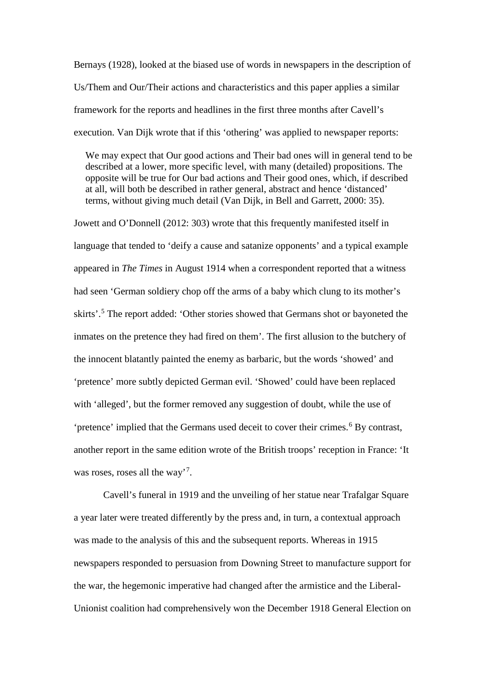Bernays (1928), looked at the biased use of words in newspapers in the description of Us/Them and Our/Their actions and characteristics and this paper applies a similar framework for the reports and headlines in the first three months after Cavell's execution. Van Dijk wrote that if this 'othering' was applied to newspaper reports:

We may expect that Our good actions and Their bad ones will in general tend to be described at a lower, more specific level, with many (detailed) propositions. The opposite will be true for Our bad actions and Their good ones, which, if described at all, will both be described in rather general, abstract and hence 'distanced' terms, without giving much detail (Van Dijk, in Bell and Garrett, 2000: 35).

Jowett and O'Donnell (2012: 303) wrote that this frequently manifested itself in language that tended to 'deify a cause and satanize opponents' and a typical example appeared in *The Times* in August 1914 when a correspondent reported that a witness had seen 'German soldiery chop off the arms of a baby which clung to its mother's skirts'. [5](#page-22-4) The report added: 'Other stories showed that Germans shot or bayoneted the inmates on the pretence they had fired on them'. The first allusion to the butchery of the innocent blatantly painted the enemy as barbaric, but the words 'showed' and 'pretence' more subtly depicted German evil. 'Showed' could have been replaced with 'alleged', but the former removed any suggestion of doubt, while the use of 'pretence' implied that the Germans used deceit to cover their crimes.<sup>[6](#page-22-5)</sup> By contrast, another report in the same edition wrote of the British troops' reception in France: 'It was roses, roses all the way'<sup>[7](#page-22-6)</sup>.

Cavell's funeral in 1919 and the unveiling of her statue near Trafalgar Square a year later were treated differently by the press and, in turn, a contextual approach was made to the analysis of this and the subsequent reports. Whereas in 1915 newspapers responded to persuasion from Downing Street to manufacture support for the war, the hegemonic imperative had changed after the armistice and the Liberal-Unionist coalition had comprehensively won the December 1918 General Election on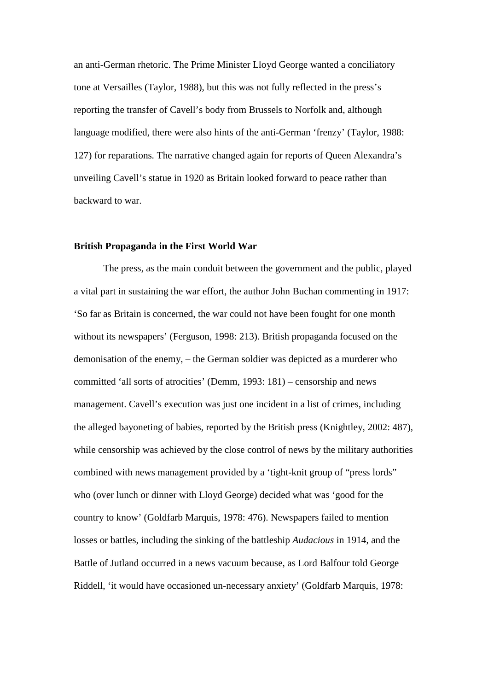an anti-German rhetoric. The Prime Minister Lloyd George wanted a conciliatory tone at Versailles (Taylor, 1988), but this was not fully reflected in the press's reporting the transfer of Cavell's body from Brussels to Norfolk and, although language modified, there were also hints of the anti-German 'frenzy' (Taylor, 1988: 127) for reparations*.* The narrative changed again for reports of Queen Alexandra's unveiling Cavell's statue in 1920 as Britain looked forward to peace rather than backward to war.

#### **British Propaganda in the First World War**

The press, as the main conduit between the government and the public, played a vital part in sustaining the war effort, the author John Buchan commenting in 1917: 'So far as Britain is concerned, the war could not have been fought for one month without its newspapers' (Ferguson, 1998: 213). British propaganda focused on the demonisation of the enemy, – the German soldier was depicted as a murderer who committed 'all sorts of atrocities' (Demm, 1993: 181) – censorship and news management. Cavell's execution was just one incident in a list of crimes, including the alleged bayoneting of babies, reported by the British press (Knightley, 2002: 487), while censorship was achieved by the close control of news by the military authorities combined with news management provided by a 'tight-knit group of "press lords" who (over lunch or dinner with Lloyd George) decided what was 'good for the country to know' (Goldfarb Marquis, 1978: 476). Newspapers failed to mention losses or battles, including the sinking of the battleship *Audacious* in 1914, and the Battle of Jutland occurred in a news vacuum because, as Lord Balfour told George Riddell, 'it would have occasioned un-necessary anxiety' (Goldfarb Marquis, 1978: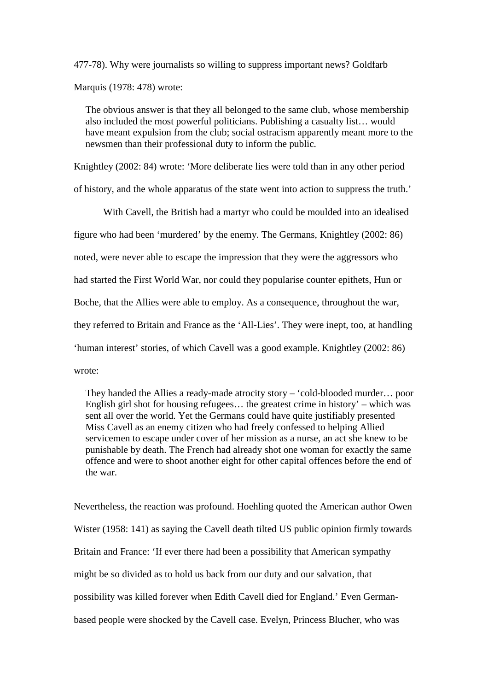477-78). Why were journalists so willing to suppress important news? Goldfarb Marquis (1978: 478) wrote:

The obvious answer is that they all belonged to the same club, whose membership also included the most powerful politicians. Publishing a casualty list… would have meant expulsion from the club; social ostracism apparently meant more to the newsmen than their professional duty to inform the public.

Knightley (2002: 84) wrote: 'More deliberate lies were told than in any other period

of history, and the whole apparatus of the state went into action to suppress the truth.'

With Cavell, the British had a martyr who could be moulded into an idealised figure who had been 'murdered' by the enemy. The Germans, Knightley (2002: 86) noted, were never able to escape the impression that they were the aggressors who had started the First World War, nor could they popularise counter epithets, Hun or Boche, that the Allies were able to employ. As a consequence, throughout the war, they referred to Britain and France as the 'All-Lies'. They were inept, too, at handling 'human interest' stories, of which Cavell was a good example. Knightley (2002: 86) wrote:

They handed the Allies a ready-made atrocity story – 'cold-blooded murder… poor English girl shot for housing refugees… the greatest crime in history' – which was sent all over the world. Yet the Germans could have quite justifiably presented Miss Cavell as an enemy citizen who had freely confessed to helping Allied servicemen to escape under cover of her mission as a nurse, an act she knew to be punishable by death. The French had already shot one woman for exactly the same offence and were to shoot another eight for other capital offences before the end of the war.

Nevertheless, the reaction was profound. Hoehling quoted the American author Owen Wister (1958: 141) as saying the Cavell death tilted US public opinion firmly towards Britain and France: 'If ever there had been a possibility that American sympathy might be so divided as to hold us back from our duty and our salvation, that possibility was killed forever when Edith Cavell died for England.' Even Germanbased people were shocked by the Cavell case. Evelyn, Princess Blucher, who was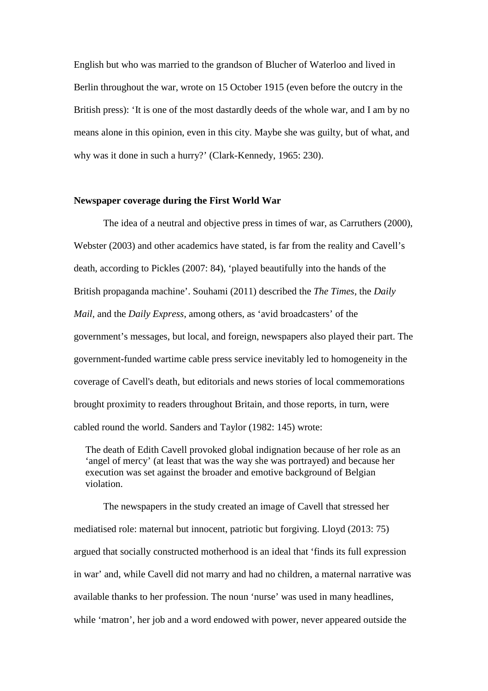English but who was married to the grandson of Blucher of Waterloo and lived in Berlin throughout the war, wrote on 15 October 1915 (even before the outcry in the British press): 'It is one of the most dastardly deeds of the whole war, and I am by no means alone in this opinion, even in this city. Maybe she was guilty, but of what, and why was it done in such a hurry?' (Clark-Kennedy, 1965: 230).

### **Newspaper coverage during the First World War**

The idea of a neutral and objective press in times of war, as Carruthers (2000), Webster (2003) and other academics have stated, is far from the reality and Cavell's death, according to Pickles (2007: 84), 'played beautifully into the hands of the British propaganda machine'. Souhami (2011) described the *The Times*, the *Daily Mail,* and the *Daily Express*, among others, as 'avid broadcasters' of the government's messages, but local, and foreign, newspapers also played their part. The government-funded wartime cable press service inevitably led to homogeneity in the coverage of Cavell's death, but editorials and news stories of local commemorations brought proximity to readers throughout Britain, and those reports, in turn, were cabled round the world. Sanders and Taylor (1982: 145) wrote:

The death of Edith Cavell provoked global indignation because of her role as an 'angel of mercy' (at least that was the way she was portrayed) and because her execution was set against the broader and emotive background of Belgian violation.

The newspapers in the study created an image of Cavell that stressed her mediatised role: maternal but innocent, patriotic but forgiving. Lloyd (2013: 75) argued that socially constructed motherhood is an ideal that 'finds its full expression in war' and, while Cavell did not marry and had no children, a maternal narrative was available thanks to her profession. The noun 'nurse' was used in many headlines, while 'matron', her job and a word endowed with power, never appeared outside the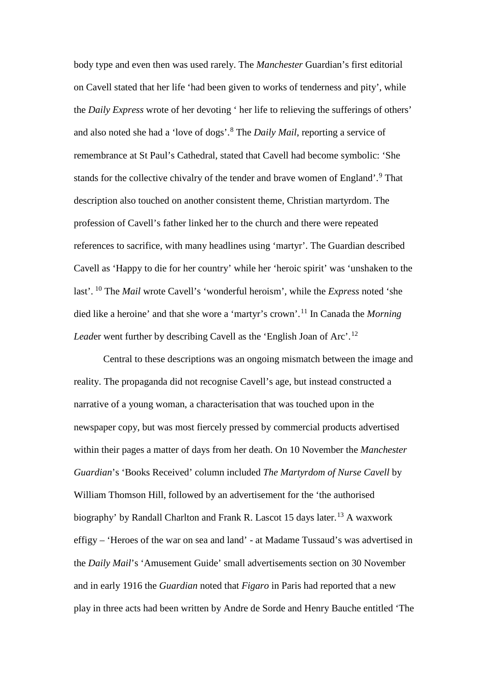body type and even then was used rarely. The *Manchester* Guardian's first editorial on Cavell stated that her life 'had been given to works of tenderness and pity', while the *Daily Express* wrote of her devoting ' her life to relieving the sufferings of others' and also noted she had a 'love of dogs'.[8](#page-22-7) The *Daily Mail*, reporting a service of remembrance at St Paul's Cathedral, stated that Cavell had become symbolic: 'She stands for the collective chivalry of the tender and brave women of England'.<sup>[9](#page-22-8)</sup> That description also touched on another consistent theme, Christian martyrdom. The profession of Cavell's father linked her to the church and there were repeated references to sacrifice, with many headlines using 'martyr'. The Guardian described Cavell as 'Happy to die for her country' while her 'heroic spirit' was 'unshaken to the last'. [10](#page-22-9) The *Mail* wrote Cavell's 'wonderful heroism', while the *Express* noted 'she died like a heroine' and that she wore a 'martyr's crown'. [11](#page-22-10) In Canada the *Morning Leader* went further by describing Cavell as the 'English Joan of Arc'.<sup>[12](#page-22-11)</sup>

Central to these descriptions was an ongoing mismatch between the image and reality. The propaganda did not recognise Cavell's age, but instead constructed a narrative of a young woman, a characterisation that was touched upon in the newspaper copy, but was most fiercely pressed by commercial products advertised within their pages a matter of days from her death. On 10 November the *Manchester Guardian*'s 'Books Received' column included *The Martyrdom of Nurse Cavell* by William Thomson Hill, followed by an advertisement for the 'the authorised biography' by Randall Charlton and Frank R. Lascot 15 days later.<sup>[13](#page-22-12)</sup> A waxwork effigy – 'Heroes of the war on sea and land' - at Madame Tussaud's was advertised in the *Daily Mail*'s 'Amusement Guide' small advertisements section on 30 November and in early 1916 the *Guardian* noted that *Figaro* in Paris had reported that a new play in three acts had been written by Andre de Sorde and Henry Bauche entitled 'The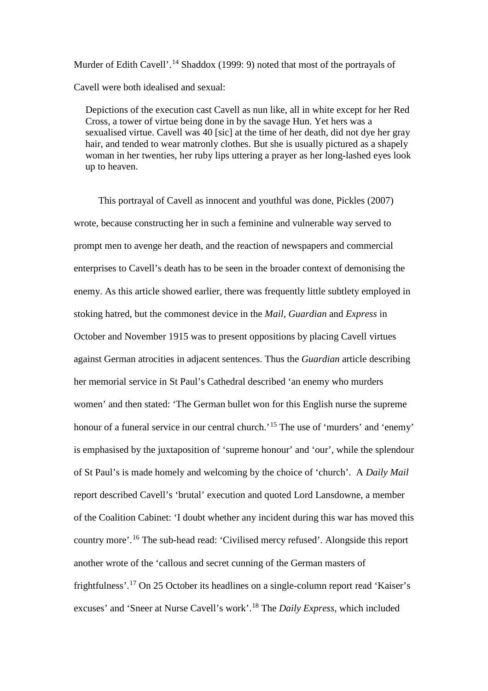Murder of Edith Cavell'.<sup>[14](#page-22-13)</sup> Shaddox (1999: 9) noted that most of the portrayals of Cavell were both idealised and sexual:

Depictions of the execution cast Cavell as nun like, all in white except for her Red Cross, a tower of virtue being done in by the savage Hun. Yet hers was a sexualised virtue. Cavell was 40 [sic] at the time of her death, did not dye her gray hair, and tended to wear matronly clothes. But she is usually pictured as a shapely woman in her twenties, her ruby lips uttering a prayer as her long-lashed eyes look up to heaven.

 This portrayal of Cavell as innocent and youthful was done, Pickles (2007) wrote, because constructing her in such a feminine and vulnerable way served to prompt men to avenge her death, and the reaction of newspapers and commercial enterprises to Cavell's death has to be seen in the broader context of demonising the enemy. As this article showed earlier, there was frequently little subtlety employed in stoking hatred, but the commonest device in the *Mail*, *Guardian* and *Express* in October and November 1915 was to present oppositions by placing Cavell virtues against German atrocities in adjacent sentences. Thus the *Guardian* article describing her memorial service in St Paul's Cathedral described 'an enemy who murders women' and then stated: 'The German bullet won for this English nurse the supreme honour of a funeral service in our central church.<sup>[15](#page-22-14)</sup> The use of 'murders' and 'enemy' is emphasised by the juxtaposition of 'supreme honour' and 'our', while the splendour of St Paul's is made homely and welcoming by the choice of 'church'. A *Daily Mail* report described Cavell's 'brutal' execution and quoted Lord Lansdowne, a member of the Coalition Cabinet: 'I doubt whether any incident during this war has moved this country more'.[16](#page-22-15) The sub-head read: 'Civilised mercy refused'. Alongside this report another wrote of the 'callous and secret cunning of the German masters of frightfulness'. [17](#page-22-16) On 25 October its headlines on a single-column report read 'Kaiser's excuses' and 'Sneer at Nurse Cavell's work'. [18](#page-22-17) The *Daily Express*, which included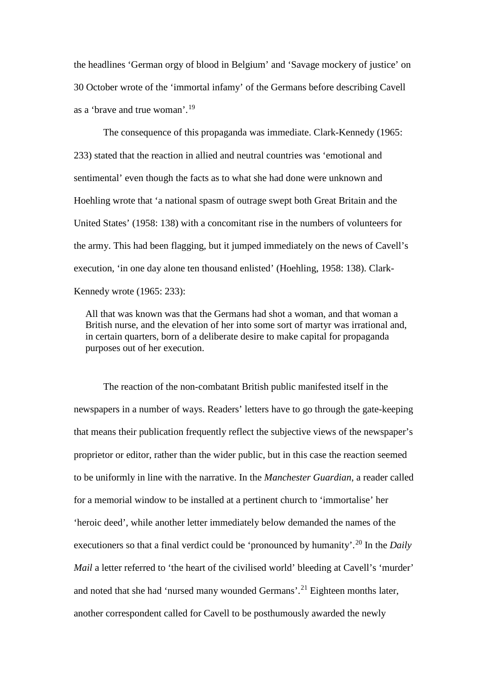the headlines 'German orgy of blood in Belgium' and 'Savage mockery of justice' on 30 October wrote of the 'immortal infamy' of the Germans before describing Cavell as a 'brave and true woman'.[19](#page-22-18)

The consequence of this propaganda was immediate. Clark-Kennedy (1965: 233) stated that the reaction in allied and neutral countries was 'emotional and sentimental' even though the facts as to what she had done were unknown and Hoehling wrote that 'a national spasm of outrage swept both Great Britain and the United States' (1958: 138) with a concomitant rise in the numbers of volunteers for the army. This had been flagging, but it jumped immediately on the news of Cavell's execution, 'in one day alone ten thousand enlisted' (Hoehling, 1958: 138). Clark-Kennedy wrote (1965: 233):

All that was known was that the Germans had shot a woman, and that woman a British nurse, and the elevation of her into some sort of martyr was irrational and, in certain quarters, born of a deliberate desire to make capital for propaganda purposes out of her execution.

The reaction of the non-combatant British public manifested itself in the newspapers in a number of ways. Readers' letters have to go through the gate-keeping that means their publication frequently reflect the subjective views of the newspaper's proprietor or editor, rather than the wider public, but in this case the reaction seemed to be uniformly in line with the narrative. In the *Manchester Guardian*, a reader called for a memorial window to be installed at a pertinent church to 'immortalise' her 'heroic deed', while another letter immediately below demanded the names of the executioners so that a final verdict could be 'pronounced by humanity'.<sup>[20](#page-22-19)</sup> In the *Daily Mail* a letter referred to 'the heart of the civilised world' bleeding at Cavell's 'murder' and noted that she had 'nursed many wounded Germans'.<sup>[21](#page-22-20)</sup> Eighteen months later, another correspondent called for Cavell to be posthumously awarded the newly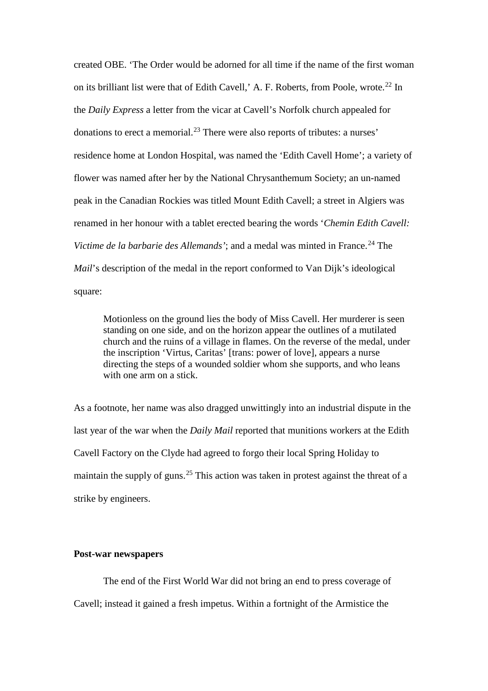created OBE. 'The Order would be adorned for all time if the name of the first woman on its brilliant list were that of Edith Cavell,' A. F. Roberts, from Poole, wrote. [22](#page-22-21) In the *Daily Express* a letter from the vicar at Cavell's Norfolk church appealed for donations to erect a memorial.<sup>[23](#page-22-22)</sup> There were also reports of tributes: a nurses' residence home at London Hospital, was named the 'Edith Cavell Home'; a variety of flower was named after her by the National Chrysanthemum Society; an un-named peak in the Canadian Rockies was titled Mount Edith Cavell; a street in Algiers was renamed in her honour with a tablet erected bearing the words '*Chemin Edith Cavell: Victime de la barbarie des Allemands'*; and a medal was minted in France. [24](#page-22-23) The *Mail*'s description of the medal in the report conformed to Van Dijk's ideological square:

Motionless on the ground lies the body of Miss Cavell. Her murderer is seen standing on one side, and on the horizon appear the outlines of a mutilated church and the ruins of a village in flames. On the reverse of the medal, under the inscription 'Virtus, Caritas' [trans: power of love], appears a nurse directing the steps of a wounded soldier whom she supports, and who leans with one arm on a stick.

As a footnote, her name was also dragged unwittingly into an industrial dispute in the last year of the war when the *Daily Mail* reported that munitions workers at the Edith Cavell Factory on the Clyde had agreed to forgo their local Spring Holiday to maintain the supply of guns.<sup>[25](#page-22-24)</sup> This action was taken in protest against the threat of a strike by engineers.

## **Post-war newspapers**

The end of the First World War did not bring an end to press coverage of Cavell; instead it gained a fresh impetus. Within a fortnight of the Armistice the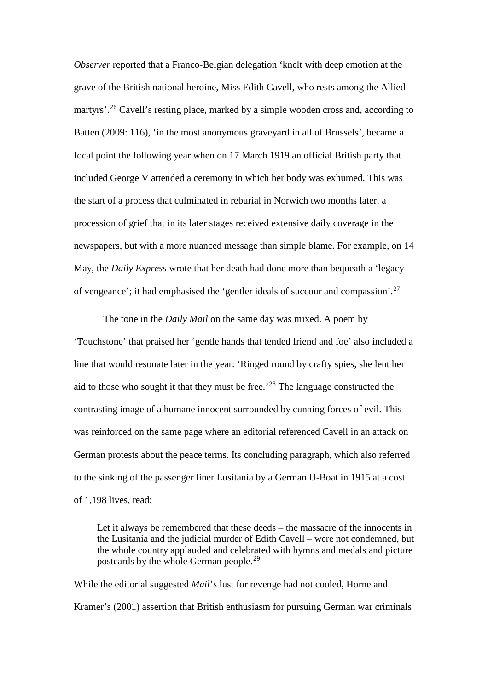*Observer* reported that a Franco-Belgian delegation 'knelt with deep emotion at the grave of the British national heroine, Miss Edith Cavell, who rests among the Allied martyrs'.<sup>[26](#page-22-25)</sup> Cavell's resting place, marked by a simple wooden cross and, according to Batten (2009: 116), 'in the most anonymous graveyard in all of Brussels', became a focal point the following year when on 17 March 1919 an official British party that included George V attended a ceremony in which her body was exhumed. This was the start of a process that culminated in reburial in Norwich two months later, a procession of grief that in its later stages received extensive daily coverage in the newspapers, but with a more nuanced message than simple blame. For example, on 14 May, the *Daily Express* wrote that her death had done more than bequeath a 'legacy of vengeance'; it had emphasised the 'gentler ideals of succour and compassion'.[27](#page-22-26)

The tone in the *Daily Mail* on the same day was mixed. A poem by 'Touchstone' that praised her 'gentle hands that tended friend and foe' also included a line that would resonate later in the year: 'Ringed round by crafty spies, she lent her aid to those who sought it that they must be free.'[28](#page-22-27) The language constructed the contrasting image of a humane innocent surrounded by cunning forces of evil. This was reinforced on the same page where an editorial referenced Cavell in an attack on German protests about the peace terms. Its concluding paragraph, which also referred to the sinking of the passenger liner Lusitania by a German U-Boat in 1915 at a cost of 1,198 lives, read:

Let it always be remembered that these deeds – the massacre of the innocents in the Lusitania and the judicial murder of Edith Cavell – were not condemned, but the whole country applauded and celebrated with hymns and medals and picture postcards by the whole German people.[29](#page-22-28)

While the editorial suggested *Mail*'s lust for revenge had not cooled, Horne and Kramer's (2001) assertion that British enthusiasm for pursuing German war criminals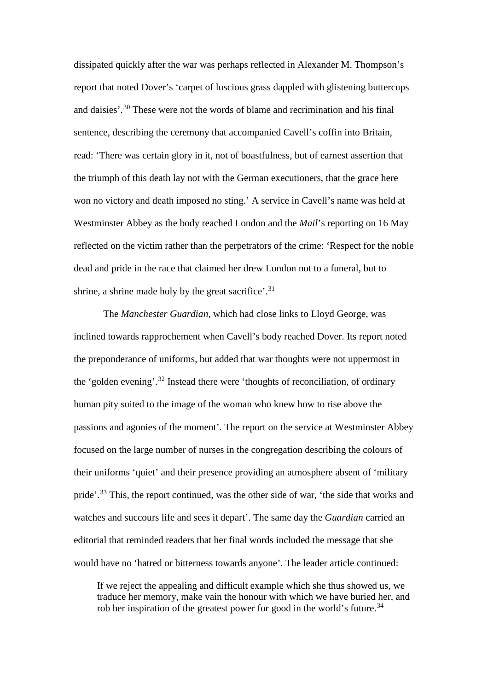dissipated quickly after the war was perhaps reflected in Alexander M. Thompson's report that noted Dover's 'carpet of luscious grass dappled with glistening buttercups and daisies'.[30](#page-22-29) These were not the words of blame and recrimination and his final sentence, describing the ceremony that accompanied Cavell's coffin into Britain, read: 'There was certain glory in it, not of boastfulness, but of earnest assertion that the triumph of this death lay not with the German executioners, that the grace here won no victory and death imposed no sting.' A service in Cavell's name was held at Westminster Abbey as the body reached London and the *Mail*'s reporting on 16 May reflected on the victim rather than the perpetrators of the crime: 'Respect for the noble dead and pride in the race that claimed her drew London not to a funeral, but to shrine, a shrine made holy by the great sacrifice'.<sup>[31](#page-22-30)</sup>

The *Manchester Guardian,* which had close links to Lloyd George, was inclined towards rapprochement when Cavell's body reached Dover. Its report noted the preponderance of uniforms, but added that war thoughts were not uppermost in the 'golden evening'.<sup>[32](#page-22-31)</sup> Instead there were 'thoughts of reconciliation, of ordinary human pity suited to the image of the woman who knew how to rise above the passions and agonies of the moment'. The report on the service at Westminster Abbey focused on the large number of nurses in the congregation describing the colours of their uniforms 'quiet' and their presence providing an atmosphere absent of 'military pride'.<sup>[33](#page-22-32)</sup> This, the report continued, was the other side of war, 'the side that works and watches and succours life and sees it depart'. The same day the *Guardian* carried an editorial that reminded readers that her final words included the message that she would have no 'hatred or bitterness towards anyone'. The leader article continued:

If we reject the appealing and difficult example which she thus showed us, we traduce her memory, make vain the honour with which we have buried her, and rob her inspiration of the greatest power for good in the world's future.<sup>[34](#page-22-33)</sup>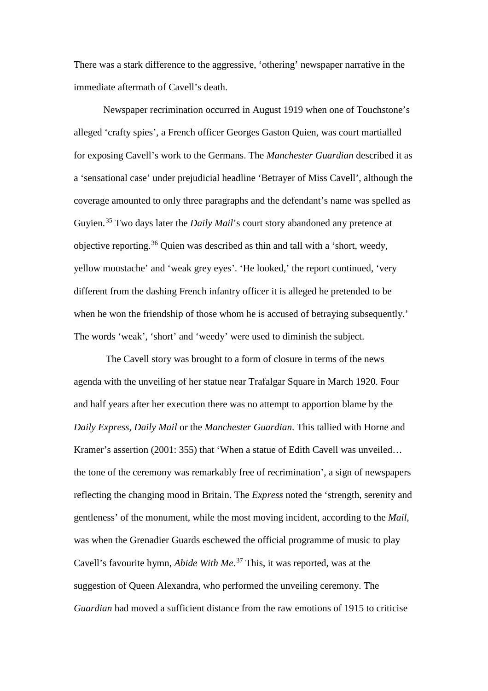There was a stark difference to the aggressive, 'othering' newspaper narrative in the immediate aftermath of Cavell's death.

Newspaper recrimination occurred in August 1919 when one of Touchstone's alleged 'crafty spies', a French officer Georges Gaston Quien, was court martialled for exposing Cavell's work to the Germans. The *Manchester Guardian* described it as a 'sensational case' under prejudicial headline 'Betrayer of Miss Cavell', although the coverage amounted to only three paragraphs and the defendant's name was spelled as Guyien. [35](#page-22-34) Two days later the *Daily Mail*'s court story abandoned any pretence at objective reporting. [36](#page-22-35) Quien was described as thin and tall with a 'short, weedy, yellow moustache' and 'weak grey eyes'. 'He looked,' the report continued, 'very different from the dashing French infantry officer it is alleged he pretended to be when he won the friendship of those whom he is accused of betraying subsequently.' The words 'weak', 'short' and 'weedy' were used to diminish the subject.

The Cavell story was brought to a form of closure in terms of the news agenda with the unveiling of her statue near Trafalgar Square in March 1920. Four and half years after her execution there was no attempt to apportion blame by the *Daily Express*, *Daily Mail* or the *Manchester Guardian*. This tallied with Horne and Kramer's assertion (2001: 355) that 'When a statue of Edith Cavell was unveiled… the tone of the ceremony was remarkably free of recrimination', a sign of newspapers reflecting the changing mood in Britain. The *Express* noted the 'strength, serenity and gentleness' of the monument, while the most moving incident, according to the *Mail*, was when the Grenadier Guards eschewed the official programme of music to play Cavell's favourite hymn, *Abide With Me*. [37](#page-22-36) This, it was reported, was at the suggestion of Queen Alexandra, who performed the unveiling ceremony. The *Guardian* had moved a sufficient distance from the raw emotions of 1915 to criticise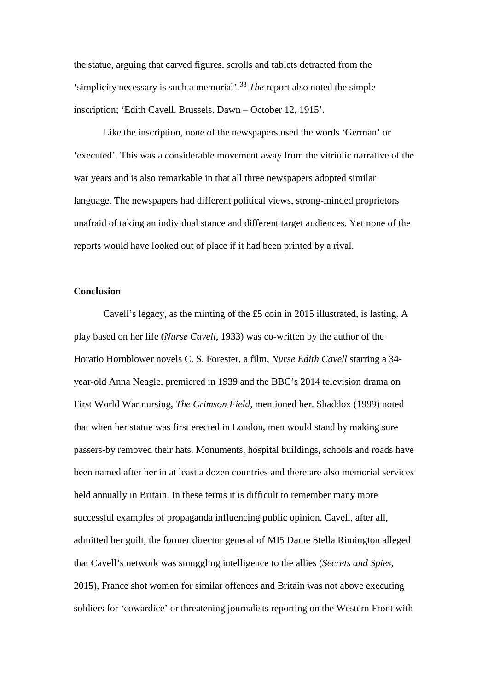the statue, arguing that carved figures, scrolls and tablets detracted from the 'simplicity necessary is such a memorial'. [38](#page-22-37) *The* report also noted the simple inscription; 'Edith Cavell. Brussels. Dawn – October 12, 1915'.

Like the inscription, none of the newspapers used the words 'German' or 'executed'. This was a considerable movement away from the vitriolic narrative of the war years and is also remarkable in that all three newspapers adopted similar language. The newspapers had different political views, strong-minded proprietors unafraid of taking an individual stance and different target audiences. Yet none of the reports would have looked out of place if it had been printed by a rival.

## **Conclusion**

Cavell's legacy, as the minting of the £5 coin in 2015 illustrated, is lasting. A play based on her life (*Nurse Cavell*, 1933) was co-written by the author of the Horatio Hornblower novels C. S. Forester, a film, *Nurse Edith Cavell* starring a 34 year-old Anna Neagle, premiered in 1939 and the BBC's 2014 television drama on First World War nursing, *The Crimson Field*, mentioned her. Shaddox (1999) noted that when her statue was first erected in London, men would stand by making sure passers-by removed their hats. Monuments, hospital buildings, schools and roads have been named after her in at least a dozen countries and there are also memorial services held annually in Britain. In these terms it is difficult to remember many more successful examples of propaganda influencing public opinion. Cavell, after all, admitted her guilt, the former director general of MI5 Dame Stella Rimington alleged that Cavell's network was smuggling intelligence to the allies (*Secrets and Spies*, 2015), France shot women for similar offences and Britain was not above executing soldiers for 'cowardice' or threatening journalists reporting on the Western Front with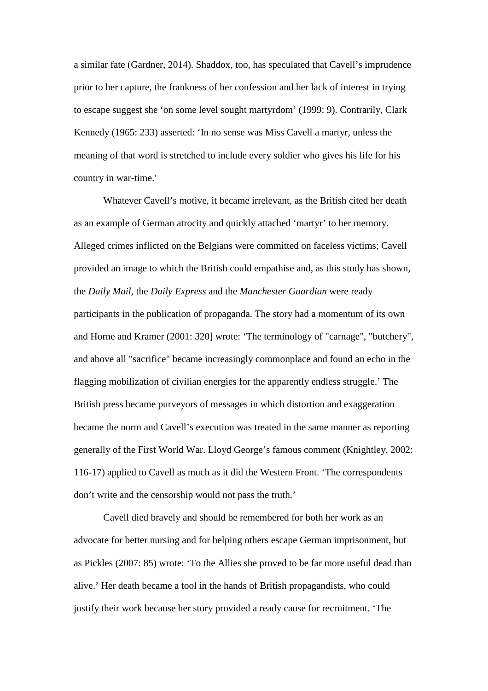a similar fate (Gardner, 2014). Shaddox, too, has speculated that Cavell's imprudence prior to her capture, the frankness of her confession and her lack of interest in trying to escape suggest she 'on some level sought martyrdom' (1999: 9). Contrarily, Clark Kennedy (1965: 233) asserted: 'In no sense was Miss Cavell a martyr, unless the meaning of that word is stretched to include every soldier who gives his life for his country in war-time.'

Whatever Cavell's motive, it became irrelevant, as the British cited her death as an example of German atrocity and quickly attached 'martyr' to her memory. Alleged crimes inflicted on the Belgians were committed on faceless victims; Cavell provided an image to which the British could empathise and, as this study has shown, the *Daily Mail,* the *Daily Express* and the *Manchester Guardian* were ready participants in the publication of propaganda. The story had a momentum of its own and Horne and Kramer (2001: 320] wrote: 'The terminology of "carnage", "butchery", and above all "sacrifice" became increasingly commonplace and found an echo in the flagging mobilization of civilian energies for the apparently endless struggle.' The British press became purveyors of messages in which distortion and exaggeration became the norm and Cavell's execution was treated in the same manner as reporting generally of the First World War. Lloyd George's famous comment (Knightley, 2002: 116-17) applied to Cavell as much as it did the Western Front. 'The correspondents don't write and the censorship would not pass the truth.'

Cavell died bravely and should be remembered for both her work as an advocate for better nursing and for helping others escape German imprisonment, but as Pickles (2007: 85) wrote: 'To the Allies she proved to be far more useful dead than alive.' Her death became a tool in the hands of British propagandists, who could justify their work because her story provided a ready cause for recruitment. 'The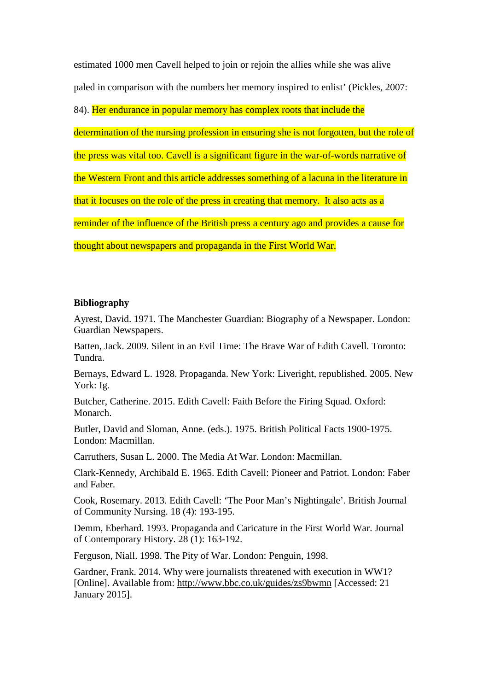estimated 1000 men Cavell helped to join or rejoin the allies while she was alive paled in comparison with the numbers her memory inspired to enlist' (Pickles, 2007:

84). Her endurance in popular memory has complex roots that include the

determination of the nursing profession in ensuring she is not forgotten, but the role of

the press was vital too. Cavell is a significant figure in the war-of-words narrative of

the Western Front and this article addresses something of a lacuna in the literature in

that it focuses on the role of the press in creating that memory. It also acts as a

reminder of the influence of the British press a century ago and provides a cause for

thought about newspapers and propaganda in the First World War.

## **Bibliography**

Ayrest, David. 1971. The Manchester Guardian: Biography of a Newspaper. London: Guardian Newspapers.

Batten, Jack. 2009. Silent in an Evil Time: The Brave War of Edith Cavell. Toronto: Tundra.

Bernays, Edward L. 1928. Propaganda. New York: Liveright, republished. 2005. New York: Ig.

Butcher, Catherine. 2015. Edith Cavell: Faith Before the Firing Squad. Oxford: Monarch.

Butler, David and Sloman, Anne. (eds.). 1975. British Political Facts 1900-1975. London: Macmillan.

Carruthers, Susan L. 2000. The Media At War. London: Macmillan.

Clark-Kennedy, Archibald E. 1965. Edith Cavell: Pioneer and Patriot. London: Faber and Faber.

Cook, Rosemary. 2013. Edith Cavell: 'The Poor Man's Nightingale'. British Journal of Community Nursing. 18 (4): 193-195.

Demm, Eberhard. 1993. Propaganda and Caricature in the First World War. Journal of Contemporary History. 28 (1): 163-192.

Ferguson, Niall. 1998. The Pity of War. London: Penguin, 1998.

Gardner, Frank. 2014. Why were journalists threatened with execution in WW1? [Online]. Available from:<http://www.bbc.co.uk/guides/zs9bwmn> [Accessed: 21 January 2015].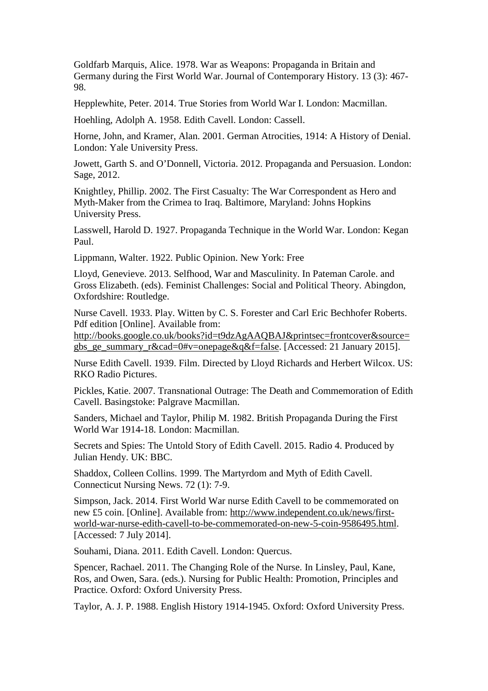Goldfarb Marquis, Alice. 1978. War as Weapons: Propaganda in Britain and Germany during the First World War. Journal of Contemporary History. 13 (3): 467- 98.

Hepplewhite, Peter. 2014. True Stories from World War I. London: Macmillan.

Hoehling, Adolph A. 1958. Edith Cavell. London: Cassell.

Horne, John, and Kramer, Alan. 2001. German Atrocities, 1914: A History of Denial. London: Yale University Press.

Jowett, Garth S. and O'Donnell, Victoria. 2012. Propaganda and Persuasion. London: Sage, 2012.

Knightley, Phillip. 2002. The First Casualty: The War Correspondent as Hero and Myth-Maker from the Crimea to Iraq. Baltimore, Maryland: Johns Hopkins University Press.

Lasswell, Harold D. 1927. Propaganda Technique in the World War. London: Kegan Paul.

Lippmann, Walter. 1922. Public Opinion. New York: Free

Lloyd, Genevieve. 2013. Selfhood, War and Masculinity. In Pateman Carole. and Gross Elizabeth. (eds). Feminist Challenges: Social and Political Theory. Abingdon, Oxfordshire: Routledge.

Nurse Cavell. 1933. Play. Witten by C. S. Forester and Carl Eric Bechhofer Roberts. Pdf edition [Online]. Available from:

[http://books.google.co.uk/books?id=t9dzAgAAQBAJ&printsec=frontcover&source=](http://books.google.co.uk/books?id=t9dzAgAAQBAJ&printsec=frontcover&source=gbs_ge_summary_r&cad=0#v=onepage&q&f=false) gbs ge summary r&cad=0#v=onepage&q&f=false. [Accessed: 21 January 2015].

Nurse Edith Cavell. 1939. Film. Directed by Lloyd Richards and Herbert Wilcox. US: RKO Radio Pictures.

Pickles, Katie. 2007. Transnational Outrage: The Death and Commemoration of Edith Cavell. Basingstoke: Palgrave Macmillan.

Sanders, Michael and Taylor, Philip M. 1982. British Propaganda During the First World War 1914-18. London: Macmillan.

Secrets and Spies: The Untold Story of Edith Cavell. 2015. Radio 4. Produced by Julian Hendy. UK: BBC.

Shaddox, Colleen Collins. 1999. The Martyrdom and Myth of Edith Cavell. Connecticut Nursing News. 72 (1): 7-9.

Simpson, Jack. 2014. First World War nurse Edith Cavell to be commemorated on new £5 coin. [Online]. Available from: [http://www.independent.co.uk/news/first](http://www.independent.co.uk/news/first-world-war-nurse-edith-cavell-to-be-commemorated-on-new-5-coin-9586495.html)[world-war-nurse-edith-cavell-to-be-commemorated-on-new-5-coin-9586495.html.](http://www.independent.co.uk/news/first-world-war-nurse-edith-cavell-to-be-commemorated-on-new-5-coin-9586495.html) [Accessed: 7 July 2014].

Souhami, Diana. 2011. Edith Cavell. London: Quercus.

Spencer, Rachael. 2011. The Changing Role of the Nurse. In Linsley, Paul, Kane, Ros, and Owen, Sara. (eds.). Nursing for Public Health: Promotion, Principles and Practice. Oxford: Oxford University Press.

Taylor, A. J. P. 1988. English History 1914-1945. Oxford: Oxford University Press.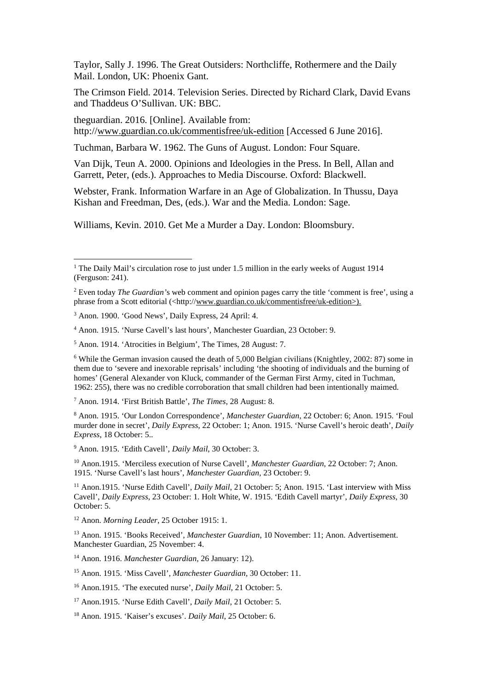Taylor, Sally J. 1996. The Great Outsiders: Northcliffe, Rothermere and the Daily Mail. London, UK: Phoenix Gant.

The Crimson Field. 2014. Television Series. Directed by Richard Clark, David Evans and Thaddeus O'Sullivan. UK: BBC.

theguardian. 2016. [Online]. Available from: http:/[/www.guardian.co.uk/commentisfree/uk-edition](http://www.guardian.co.uk/commentisfree/uk-edition) [Accessed 6 June 2016].

Tuchman, Barbara W. 1962. The Guns of August. London: Four Square.

Van Dijk, Teun A. 2000. Opinions and Ideologies in the Press. In Bell, Allan and Garrett, Peter, (eds.). Approaches to Media Discourse. Oxford: Blackwell.

Webster, Frank. Information Warfare in an Age of Globalization. In Thussu, Daya Kishan and Freedman, Des, (eds.). War and the Media. London: Sage.

Williams, Kevin. 2010. Get Me a Murder a Day. London: Bloomsbury.

<sup>4</sup> Anon. 1915. 'Nurse Cavell's last hours', Manchester Guardian, 23 October: 9.

<sup>7</sup> Anon. 1914. 'First British Battle', *The Times*, 28 August: 8.

<sup>9</sup> Anon. 1915. 'Edith Cavell', *Daily Mail*, 30 October: 3.

<sup>10</sup> Anon.1915. 'Merciless execution of Nurse Cavell', *Manchester Guardian*, 22 October: 7; Anon. 1915. 'Nurse Cavell's last hours', *Manchester Guardian*, 23 October: 9.

<sup>11</sup> Anon.1915. 'Nurse Edith Cavell', *Daily Mail*, 21 October: 5; Anon. 1915. 'Last interview with Miss Cavell', *Daily Express*, 23 October: 1. Holt White, W. 1915. 'Edith Cavell martyr', *Daily Express*, 30 October: 5.

<sup>12</sup> Anon. *Morning Leader*, 25 October 1915: 1.

<sup>13</sup> Anon. 1915. 'Books Received', *Manchester Guardian*, 10 November: 11; Anon. Advertisement. Manchester Guardian, 25 November: 4.

<sup>14</sup> Anon. 1916. *Manchester Guardian*, 26 January: 12).

<sup>15</sup> Anon. 1915. 'Miss Cavell', *Manchester Guardian*, 30 October: 11.

<sup>16</sup> Anon.1915. 'The executed nurse', *Daily Mail*, 21 October: 5.

<sup>17</sup> Anon.1915. 'Nurse Edith Cavell', *Daily Mail*, 21 October: 5.

<sup>18</sup> Anon. 1915. 'Kaiser's excuses'. *Daily Mail*, 25 October: 6.

<sup>&</sup>lt;sup>1</sup> The Daily Mail's circulation rose to just under 1.5 million in the early weeks of August 1914 (Ferguson: 241).

<sup>2</sup> Even today *The Guardian'*s web comment and opinion pages carry the title 'comment is free', using a phrase from a Scott editorial (<http:/[/www.guardian.co.uk/commentisfree/uk-edition>](http://www.guardian.co.uk/commentisfree/uk-edition)).

<sup>3</sup> Anon. 1900. 'Good News', Daily Express, 24 April: 4.

<sup>5</sup> Anon. 1914. 'Atrocities in Belgium', The Times, 28 August: 7.

<sup>6</sup> While the German invasion caused the death of 5,000 Belgian civilians (Knightley, 2002: 87) some in them due to 'severe and inexorable reprisals' including 'the shooting of individuals and the burning of homes' (General Alexander von Kluck, commander of the German First Army, cited in Tuchman, 1962: 255), there was no credible corroboration that small children had been intentionally maimed.

<sup>8</sup> Anon. 1915. 'Our London Correspondence', *Manchester Guardian*, 22 October: 6; Anon. 1915. 'Foul murder done in secret', *Daily Express*, 22 October: 1; Anon. 1915. 'Nurse Cavell's heroic death', *Daily Express*, 18 October: 5..